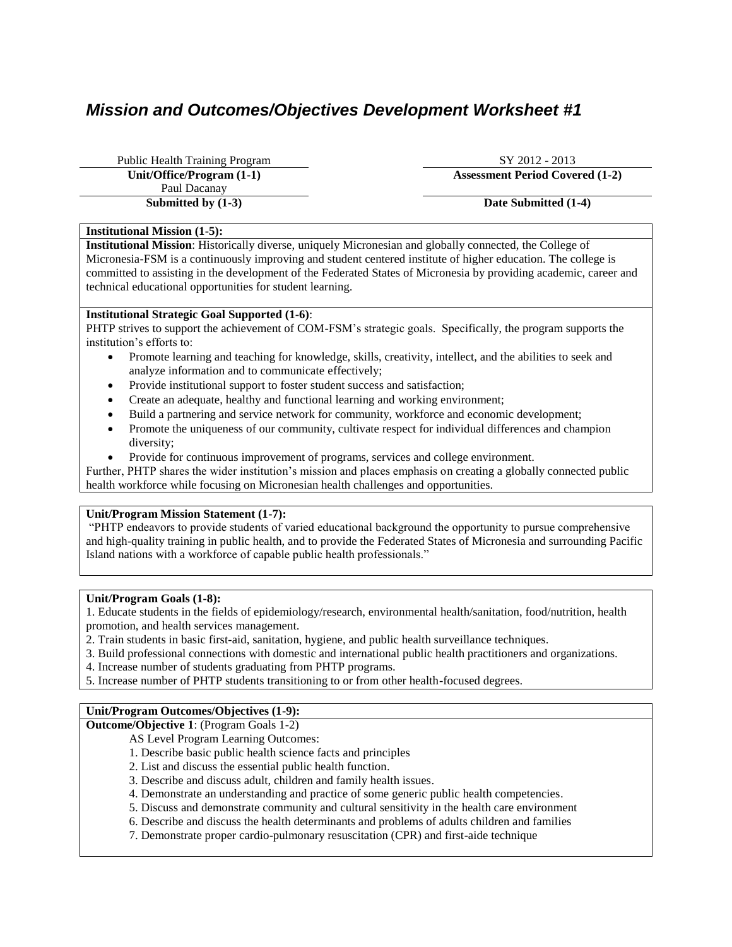# *Mission and Outcomes/Objectives Development Worksheet #1*

Public Health Training Program SY 2012 - 2013 Paul Dacanay **Submitted by (1-3) Date Submitted (1-4)** 

**Unit/Office/Program (1-1) Assessment Period Covered (1-2)**

# **Institutional Mission (1-5):**

**Institutional Mission**: Historically diverse, uniquely Micronesian and globally connected, the College of Micronesia-FSM is a continuously improving and student centered institute of higher education. The college is committed to assisting in the development of the Federated States of Micronesia by providing academic, career and technical educational opportunities for student learning.

# **Institutional Strategic Goal Supported (1-6)**:

PHTP strives to support the achievement of COM-FSM's strategic goals. Specifically, the program supports the institution's efforts to:

- Promote learning and teaching for knowledge, skills, creativity, intellect, and the abilities to seek and analyze information and to communicate effectively;
- Provide institutional support to foster student success and satisfaction;
- Create an adequate, healthy and functional learning and working environment;
- Build a partnering and service network for community, workforce and economic development;
- Promote the uniqueness of our community, cultivate respect for individual differences and champion diversity;
- Provide for continuous improvement of programs, services and college environment.

Further, PHTP shares the wider institution's mission and places emphasis on creating a globally connected public health workforce while focusing on Micronesian health challenges and opportunities.

# **Unit/Program Mission Statement (1-7):**

"PHTP endeavors to provide students of varied educational background the opportunity to pursue comprehensive and high-quality training in public health, and to provide the Federated States of Micronesia and surrounding Pacific Island nations with a workforce of capable public health professionals."

#### **Unit/Program Goals (1-8):**

1. Educate students in the fields of epidemiology/research, environmental health/sanitation, food/nutrition, health promotion, and health services management.

- 2. Train students in basic first-aid, sanitation, hygiene, and public health surveillance techniques.
- 3. Build professional connections with domestic and international public health practitioners and organizations.
- 4. Increase number of students graduating from PHTP programs.
- 5. Increase number of PHTP students transitioning to or from other health-focused degrees.

# **Unit/Program Outcomes/Objectives (1-9):**

**Outcome/Objective 1**: (Program Goals 1-2)

- AS Level Program Learning Outcomes:
- 1. Describe basic public health science facts and principles
- 2. List and discuss the essential public health function.
- 3. Describe and discuss adult, children and family health issues.
- 4. Demonstrate an understanding and practice of some generic public health competencies.
- 5. Discuss and demonstrate community and cultural sensitivity in the health care environment
- 6. Describe and discuss the health determinants and problems of adults children and families
- 7. Demonstrate proper cardio-pulmonary resuscitation (CPR) and first-aide technique